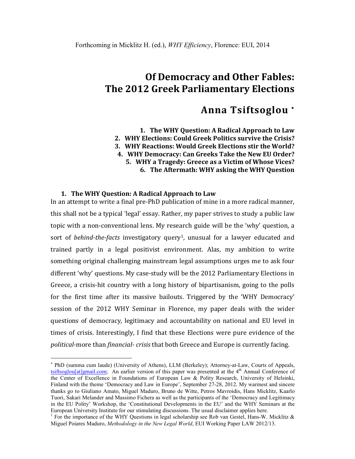# **Of Democracy and Other Fables: The 2012 Greek Parliamentary Elections**

# **Anna Tsiftsoglou**

**1. The WHY Question: A Radical Approach to Law 2. WHY Elections: Could Greek Politics survive the Crisis? 3. WHY Reactions: Would Greek Elections stir the World? 4. WHY Democracy: Can Greeks Take the New EU Order? 5. WHY a Tragedy: Greece as a Victim of Whose Vices? 6. The Aftermath: WHY asking the WHY Question**

## **1. The WHY Question: A Radical Approach to Law**

 $\overline{a}$ 

In an attempt to write a final pre-PhD publication of mine in a more radical manner, this shall not be a typical 'legal' essay. Rather, my paper strives to study a public law topic with a non-conventional lens. My research guide will be the 'why' question, a sort of *behind-the-facts* investigatory query1, unusual for a lawyer educated and trained partly in a legal positivist environment. Alas, my ambition to write something original challenging mainstream legal assumptions urges me to ask four different 'why' questions. My case-study will be the 2012 Parliamentary Elections in Greece, a crisis-hit country with a long history of bipartisanism, going to the polls for the first time after its massive bailouts. Triggered by the 'WHY Democracy' session of the 2012 WHY Seminar in Florence, my paper deals with the wider questions of democracy, legitimacy and accountability on national and EU level in times of crisis. Interestingly, I find that these Elections were pure evidence of the *political*-more than *financial*- *crisis* that both Greece and Europe is currently facing.

PhD (summa cum laude) (University of Athens), LLM (Berkeley); Attorney-at-Law, Courts of Appeals, tsiftsoglou[at]gmail.com; An earlier version of this paper was presented at the  $4<sup>th</sup>$  Annual Conference of the Center of Excellence in Foundations of European Law & Polity Research, University of Helsinki, Finland with the theme 'Democracy and Law in Europe', September 27-28, 2012. My warmest and sincere thanks go to Giuliano Amato, Miguel Maduro, Bruno de Witte, Petros Mavroidis, Hans Micklitz, Kaarlo Tuori, Sakari Melander and Massimo Fichera as well as the participants of the 'Democracy and Legitimacy in the EU Polity' Workshop, the 'Constitutional Developments in the EU' and the WHY Seminars at the European University Institute for our stimulating discussions. The usual disclaimer applies here.<br><sup>1</sup> For the importance of the WHY Questions in legal scholarship see Rob van Gestel, Hans-W. Micklitz &

Miguel Poiares Maduro, Methodology in the New Legal World, EUI Working Paper LAW 2012/13.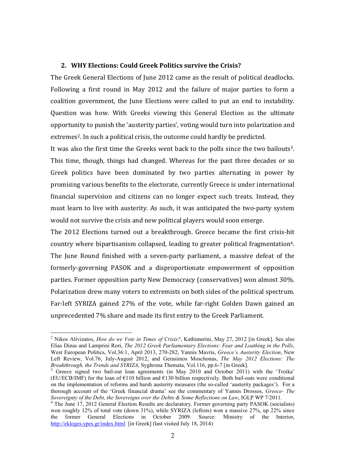# **2. WHY Elections: Could Greek Politics survive the Crisis?**

The Greek General Elections of June 2012 came as the result of political deadlocks. Following a first round in May 2012 and the failure of major parties to form a coalition government, the June Elections were called to put an end to instability. Question was how. With Greeks viewing this General Election as the ultimate opportunity to punish the 'austerity parties', voting would turn into polarization and extremes<sup>2</sup>. In such a political crisis, the outcome could hardly be predicted.

It was also the first time the Greeks went back to the polls since the two bailouts<sup>3</sup>. This time, though, things had changed. Whereas for the past three decades or so Greek politics have been dominated by two parties alternating in power by promising various benefits to the electorate, currently Greece is under international financial supervision and citizens can no longer expect such treats. Instead, they must learn to live with austerity. As such, it was anticipated the two-party system would not survive the crisis and new political players would soon emerge.

The 2012 Elections turned out a breakthrough. Greece became the first crisis-hit country where bipartisanism collapsed, leading to greater political fragmentation4. The June Round finished with a seven-party parliament, a massive defeat of the formerly-governing PASOK and a disproportionate empowerment of opposition parties. Former opposition party New Democracy (conservatives) won almost 30%. Polarization drew many voters to extremists on both sides of the political spectrum. Far-left SYRIZA gained 27% of the vote, while far-right Golden Dawn gained an unprecedented 7% share and made its first entry to the Greek Parliament.

<sup>&</sup>lt;sup>2</sup> Nikos Alivizatos, *How do we Vote in Times of Crisis?*, Kathimerini, May 27, 2012 [in Greek]. See also Elias Dinas and Lamprini Rori, The 2012 Greek Parliamentary Elections: Fear and Loathing in the Polls, West European Politics, Vol.36:1, April 2013, 270-282, Yannis Mavris, Greece's Austerity Election, New Left Review, Vol.76, July-August 2012, and Gerasimos Moschonas, *The May 2012 Elections: The Breakthrough, the Trends and SYRIZA*, Syghrona Themata, Vol.116, pp.6-7 [in Greek].

 $3$  Greece signed two bail-out loan agreements (in May 2010 and October 2011) with the 'Troika' (EU/ECB/IMF) for the loan of  $\epsilon$ 110 billion and  $\epsilon$ 130 billion respectively. Both bail-outs were conditional on the implementation of reforms and harsh austerity measures (the so-called 'austerity packages'). For a thorough account of the 'Greek financial drama' see the commentary of Yannis Drossos, *Greece- The Sovereignty of the Debt, the Sovereigns over the Debts & Some Reflections on Law*, IGLP WP 7/2011.

 $4$  The June 17, 2012 General Election Results are declaratory. Former governing party PASOK (socialists) won roughly 12% of total vote (down 31%), while SYRIZA (leftists) won a massive 27%, up 22% since the former General Elections in October 2009. Source: Ministry of the Interior, http://ekloges.ypes.gr/index.html [in Greek] (last visited July 18, 2014)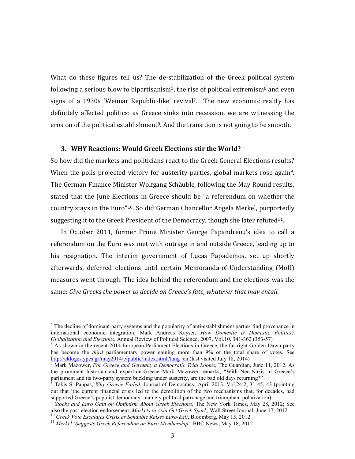What do these figures tell us? The de-stabilization of the Greek political system following a serious blow to bipartisanism<sup>5</sup>, the rise of political extremism<sup>6</sup> and even signs of a 1930s 'Weimar Republic-like' revival7. The new economic reality has definitely affected politics: as Greece sinks into recession, we are witnessing the erosion of the political establishment<sup>8</sup>. And the transition is not going to be smooth.

#### **3. WHY Reactions: Would Greek Elections stir the World?**

So how did the markets and politicians react to the Greek General Elections results? When the polls projected victory for austerity parties, global markets rose again<sup>9</sup>. The German Finance Minister Wolfgang Schäuble, following the May Round results, stated that the June Elections in Greece should be "a referendum on whether the country stays in the Euro"10. So did German Chancellor Angela Merkel, purportedly suggesting it to the Greek President of the Democracy, though she later refuted<sup>11</sup>.

In October 2011, former Prime Minister George Papandreou's idea to call a referendum on the Euro was met with outrage in and outside Greece, leading up to his resignation. The interim government of Lucas Papademos, set up shortly afterwards, deferred elections until certain Memoranda-of-Understanding (MoU) measures went through. The idea behind the referendum and the elections was the same: *Give Greeks the power to decide on Greece's fate, whatever that may entail*.

 $<sup>5</sup>$  The decline of dominant party systems and the popularity of anti-establishment parties find provenance in</sup> international economic integration. Mark Andreas Kayser, *How Domestic is Domestic Politics?*<br>Globalization and Elections, Annual Review of Political Science, 2007, Vol.10, 341-362 (353-57)

 $6$  As shown in the recent 2014 European Parliament Elections in Greece, the far-right Golden Dawn party has become the *third* parliamentary power gaining more than 9% of the total share of votes. See http://ekloges.ypes.gr/may2014/e/public/index.html?lang=en (last visited July 18, 2014)

<sup>&</sup>lt;sup>7</sup> Mark Mazower, For Greece and Germany a Democratic Trial Looms, The Guardian, June 11, 2012. As the prominent historian and expert-on-Greece Mark Mazower remarks, "With Neo-Nazis in Greece's parliament and its two-party system buckling under austerity, are the bad old days returning?"

Takis S. Pappas, Why Greece Failed, Journal of Democracy, April 2013, Vol.24:2, 31-45, 43 (pointing out that 'the current financial crisis led to the demolition of the two mechanisms that, for decades, had supported Greece's populist democracy', namely political patronage and triumphant polarization)

 $9$  Stocks and Euro Gain on Optimism About Greek Elections, The New York Times, May 28, 2012; See also the post-election endorsement, *Markets in Asia Get Greek Spark*, Wall Street Journal, June 17, 2012<br><sup>10</sup> Greek Vote Escalates Crisis as Schäuble Raises Euro-Exit, Bloomberg, May 15, 2012<br><sup>11</sup> Merkel 'Suggests Greek R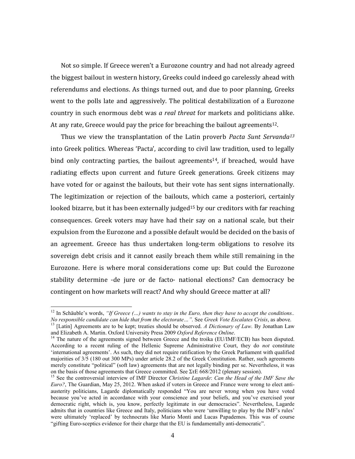Not so simple. If Greece weren't a Eurozone country and had not already agreed the biggest bailout in western history, Greeks could indeed go carelessly ahead with referendums and elections. As things turned out, and due to poor planning, Greeks went to the polls late and aggressively. The political destabilization of a Eurozone country in such enormous debt was *a real threat* for markets and politicians alike. At any rate, Greece would pay the price for breaching the bailout agreements $12$ .

Thus we view the transplantation of the Latin proverb *Pacta Sunt Servanda13* into Greek politics. Whereas 'Pacta', according to civil law tradition, used to legally bind only contracting parties, the bailout agreements<sup>14</sup>, if breached, would have radiating effects upon current and future Greek generations. Greek citizens may have voted for or against the bailouts, but their vote has sent signs internationally. The legitimization or rejection of the bailouts, which came a posteriori, certainly looked bizarre, but it has been externally judged<sup>15</sup> by our creditors with far reaching consequences. Greek voters may have had their say on a national scale, but their expulsion from the Eurozone and a possible default would be decided on the basis of an agreement. Greece has thus undertaken long-term obligations to resolve its sovereign debt crisis and it cannot easily breach them while still remaining in the Eurozone. Here is where moral considerations come up: But could the Eurozone stability determine -de jure or de facto- national elections? Can democracy be contingent on how markets will react? And why should Greece matter at all?

<sup>&</sup>lt;sup>12</sup> In Schäuble's words, "If Greece  $(...)$  wants to stay in the Euro, then they have to accept the conditions..<br>No responsible candidate can hide that from the electorate...". See Greek Vote Escalates Crisis, as above.

<sup>&</sup>lt;sup>13</sup> [Latin] Agreements are to be kept; treaties should be observed. A Dictionary of Law. By Jonathan Law and Elizabeth A. Martin. Oxford University Press 2009 Oxford Reference Online.<br><sup>14</sup> The nature of the agreements signed between Greece and the troika (EU/IMF/ECB) has been disputed.

According to a recent ruling of the Hellenic Supreme Administrative Court, they do not constitute 'international agreements'. As such, they did not require ratification by the Greek Parliament with qualified majorities of 3/5 (180 out 300 MPs) under article 28.2 of the Greek Constitution. Rather, such agreements merely constitute "political" (soft law) agreements that are not legally binding per se. Nevertheless, it was on the basis of those agreements that Greece committed. See  $\Sigma \tau E$  668/2012 (plenary session).

<sup>&</sup>lt;sup>15</sup> See the controversial interview of IMF Director Christine Lagarde: Can the Head of the IMF Save the Euro?, The Guardian, May 25, 2012. When asked if voters in Greece and France were wrong to elect antiausterity politicians, Lagarde diplomatically responded "You are never wrong when you have voted because you've acted in accordance with your conscience and your beliefs, and you've exercised your democratic right, which is, you know, perfectly legitimate in our democracies". Nevertheless, Lagarde admits that in countries like Greece and Italy, politicians who were 'unwilling to play by the IMF's rules' were ultimately 'replaced' by technocrats like Mario Monti and Lucas Papademos. This was of course "gifting Euro-sceptics evidence for their charge that the EU is fundamentally anti-democratic".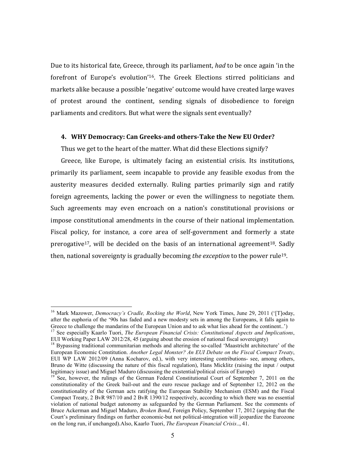Due to its historical fate, Greece, through its parliament, *had* to be once again 'in the forefront of Europe's evolution'16. The Greek Elections stirred politicians and markets alike because a possible 'negative' outcome would have created large waves of protest around the continent, sending signals of disobedience to foreign parliaments and creditors. But what were the signals sent eventually?

## **4. WHY Democracy: Can Greeks-and others-Take the New EU Order?**

Thus we get to the heart of the matter. What did these Elections signify?

Greece, like Europe, is ultimately facing an existential crisis. Its institutions, primarily its parliament, seem incapable to provide any feasible exodus from the austerity measures decided externally. Ruling parties primarily sign and ratify foreign agreements, lacking the power or even the willingness to negotiate them. Such agreements may even encroach on a nation's constitutional provisions or impose constitutional amendments in the course of their national implementation. Fiscal policy, for instance, a core area of self-government and formerly a state prerogative<sup>17</sup>, will be decided on the basis of an international agreement<sup>18</sup>. Sadly then, national sovereignty is gradually becoming *the exception* to the power rule19.

<sup>&</sup>lt;sup>16</sup> Mark Mazower, *Democracy's Cradle, Rocking the World*, New York Times, June 29, 2011 ('[T]oday, after the euphoria of the '90s has faded and a new modesty sets in among the Europeans, it falls again to Greece to challenge the mandarins of the European Union and to ask what lies ahead for the continent..')<br><sup>17</sup> See especially Kaarlo Tuori, *The European Financial Crisis: Constitutional Aspects and Implications*,

EUI Working Paper LAW 2012/28, 45 (arguing about the erosion of national fiscal sovereignty)

<sup>&</sup>lt;sup>18</sup> Bypassing traditional communitarian methods and altering the so-called 'Maastricht architecture' of the European Economic Constitution. Another Legal Monster? An EUI Debate on the Fiscal Compact Treaty, EUI WP LAW 2012/09 (Anna Kocharov, ed.), with very interesting contributions- see, among others, Bruno de Witte (discussing the nature of this fiscal regulation), Hans Micklitz (raising the input / output legitimacy issue) and Miguel Maduro (discussing the existential/political crisis of Europe)

<sup>&</sup>lt;sup>19</sup> See, however, the rulings of the German Federal Constitutional Court of September 7, 2011 on the constitutionality of the Greek bail-out and the euro rescue package and of September 12, 2012 on the constitutionality of the German acts ratifying the European Stability Mechanism (ESM) and the Fiscal Compact Treaty, 2 BvR 987/10 and 2 BvR 1390/12 respectively, according to which there was no essential violation of national budget autonomy as safeguarded by the German Parliament. See the comments of Bruce Ackerman and Miguel Maduro, Broken Bond, Foreign Policy, September 17, 2012 (arguing that the Court's preliminary findings on further economic-but not political-integration will jeopardize the Eurozone on the long run, if unchanged).Also, Kaarlo Tuori, The European Financial Crisis.., 41.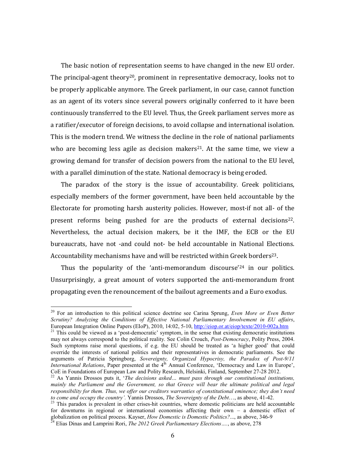The basic notion of representation seems to have changed in the new EU order. The principal-agent theory<sup>20</sup>, prominent in representative democracy, looks not to be properly applicable anymore. The Greek parliament, in our case, cannot function as an agent of its voters since several powers originally conferred to it have been continuously transferred to the EU level. Thus, the Greek parliament serves more as a ratifier/executor of foreign decisions, to avoid collapse and international isolation. This is the modern trend. We witness the decline in the role of national parliaments who are becoming less agile as decision makers<sup>21</sup>. At the same time, we view a growing demand for transfer of decision powers from the national to the EU level, with a parallel diminution of the state. National democracy is being eroded.

The paradox of the story is the issue of accountability. Greek politicians, especially members of the former government, have been held accountable by the Electorate for promoting harsh austerity policies. However, most-if not all- of the present reforms being pushed for are the products of external decisions<sup>22</sup>. Nevertheless, the actual decision makers, be it the IMF, the ECB or the EU bureaucrats, have not -and could not- be held accountable in National Elections. Accountability mechanisms have and will be restricted within Greek borders<sup>23</sup>.

Thus the popularity of the 'anti-memorandum discourse'<sup>24</sup> in our politics. Unsurprisingly, a great amount of voters supported the anti-memorandum front propagating even the renouncement of the bailout agreements and a Euro exodus.

<sup>&</sup>lt;sup>20</sup> For an introduction to this political science doctrine see Carina Sprung, Even More or Even Better Scrutiny? Analyzing the Conditions of Effective National Parliamentary Involvement in EU affairs, European Integration Online Papers (EIoP), 2010, 14:02, 5-10,  $\frac{http://eiop.or.at/eiop/texte/2010-002a.htm}{http://eiop.or.at/eiop/texte/2010-002a.htm}$ <br><sup>21</sup> This could be viewed as a 'post-democratic' symptom, in the sense that existing democratic ins

may not always correspond to the political reality. See Colin Crouch, Post-Democracy, Polity Press, 2004. Such symptoms raise moral questions, if e.g. the EU should be treated as 'a higher good' that could override the interests of national politics and their representatives in democratic parliaments. See the arguments of Patricia Springborg, Sovereignty, Organized Hypocrisy, the Paradox of Post-9/11 *International Relations*, Paper presented at the  $4^{th}$  Annual Conference, 'Democracy and Law in Europe', CoE in Foundations of European Law and Polity Research, Helsinki, Finland, September 27-28 2012.

 $\frac{22}{22}$  As Yannis Drossos puts it, 'The decisions asked... must pass through our constitutional institutions, mainly the Parliament and the Government, so that Greece will bear the ultimate political and legal responsibility for them. Thus, we offer our creditors warranties of constitutional eminence; they don't need to come and occupy the country'. Yannis Drossos, The Sovereignty of the Debt..., as above, 41-42.

 $t^{23}$  This paradox is prevalent in other crises-hit countries, where domestic politicians are held accountable for downturns in regional or international economies affecting their own – a domestic effect of globalization on political process. Kayser, How Domestic is Domestic Politics?..., as above, 346-9 <sup>24</sup> Elias Dinas and Lamprini Rori, *The 2012 Greek Parliamentary Elections* ...., as above, 278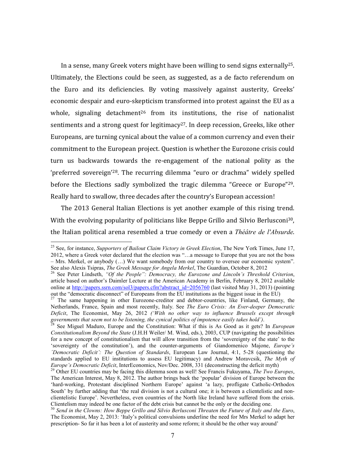In a sense, many Greek voters might have been willing to send signs externally<sup>25</sup>. Ultimately, the Elections could be seen, as suggested, as a de facto referendum on the Euro and its deficiencies. By voting massively against austerity, Greeks' economic despair and euro-skepticism transformed into protest against the EU as a whole, signaling detachment<sup>26</sup> from its institutions, the rise of nationalist sentiments and a strong quest for legitimacy27. In deep recession, Greeks, like other Europeans, are turning cynical about the value of a common currency and even their commitment to the European project. Question is whether the Eurozone crisis could turn us backwards towards the re-engagement of the national polity as the 'preferred sovereign'28. The recurring dilemma "euro or drachma" widely spelled before the Elections sadly symbolized the tragic dilemma "Greece or Europe"<sup>29</sup>. Really hard to swallow, three decades after the country's European accession!

The 2013 General Italian Elections is yet another example of this rising trend. With the evolving popularity of politicians like Beppe Grillo and Silvio Berlusconi<sup>30</sup>, the Italian political arena resembled a true comedy or even a Théâtre de l'Absurde.

<sup>&</sup>lt;sup>25</sup> See, for instance, Supporters of Bailout Claim Victory in Greek Election, The New York Times, June 17, 2012, where a Greek voter declared that the election was "…a message to Europe that you are not the boss – Mrs. Merkel, or anybody (…) We want somebody from our country to oversee our economic system".

See also Alexis Tsipras, *The Greek Message for Angela Merkel*, The Guardian, October 8, 2012<br><sup>26</sup> See Peter Lindseth, "Of the People": Democracy, the Eurozone and Lincoln's Threshold Criterion, article based on author's Daimler Lecture at the American Academy in Berlin, February 8, 2012 available online at http://papers.ssrn.com/sol3/papers.cfm?abstract\_id=2056760 (last visited May 31, 2013) (pointing out the "democratic disconnect" of Europeans from the EU institutions as the biggest issue in the EU)

<sup>&</sup>lt;sup>27</sup> The same happening in other Eurozone-creditor and debtor-countries, like Finland, Germany, the Netherlands, France, Spain and most recently, Italy. See The Euro Crisis: An Ever-deeper Democratic Deficit, The Economist, May 26, 2012 ('With no other way to influence Brussels except through governments that seem not to be listening, the cynical politics of impotence easily takes hold').<br><sup>28</sup> See Miguel Maduro, Europe and the Constitution: What if this is As Good as it gets? In *European* 

Constitutionalism Beyond the State (J.H.H Weiler/ M. Wind, eds.), 2003, CUP (navigating the possibilities for a new concept of constitutionalism that will allow transition from the 'sovereignty of the state' to the 'sovereignty of the constitution'), and the counter-arguments of Giandomenico Majone, Europe's ´Democratic Deficit': The Question of Standards, European Law Journal, 4:1, 5-28 (questioning the standards applied to EU institutions to assess EU legitimacy) and Andrew Moravcsik, The Myth of Europe's Democratic Deficit, InterEconomics, Nov/Dec. 2008, 331 (deconstructing the deficit myth)

<sup>&</sup>lt;sup>29</sup> Other EU countries may be facing this dilemma soon as well! See Francis Fukuyama, *The Two Europes*, The American Interest, May 8, 2012. The author brings back the 'popular' division of Europe between the 'hard-working, Protestant disciplined Northern Europe' against 'a lazy, profligate Catholic-Orthodox South' by further adding that 'the real division is not a cultural one; it is between a clientelistic and nonclientelistic Europe'. Nevertheless, even countries of the North like Ireland have suffered from the crisis. Clientelism may indeed be one factor of the debt crisis but cannot be the only or the deciding one.

 $30$  Send in the Clowns: How Beppe Grillo and Silvio Berlusconi Threaten the Future of Italy and the Euro, The Economist, May 2, 2013: 'Italy's political convulsions underline the need for Mrs Merkel to adapt her prescription- So far it has been a lot of austerity and some reform; it should be the other way around'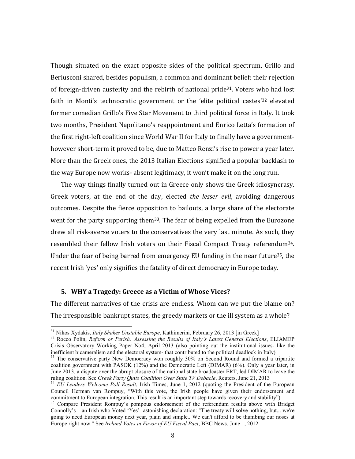Though situated on the exact opposite sides of the political spectrum, Grillo and Berlusconi shared, besides populism, a common and dominant belief: their rejection of foreign-driven austerity and the rebirth of national pride31. Voters who had lost faith in Monti's technocratic government or the 'elite political castes'32 elevated former comedian Grillo's Five Star Movement to third political force in Italy. It took two months, President Napolitano's reappointment and Enrico Letta's formation of the first right-left coalition since World War II for Italy to finally have a governmenthowever short-term it proved to be, due to Matteo Renzi's rise to power a year later. More than the Greek ones, the 2013 Italian Elections signified a popular backlash to the way Europe now works- absent legitimacy, it won't make it on the long run.

The way things finally turned out in Greece only shows the Greek idiosyncrasy. Greek voters, at the end of the day, elected *the lesser evil*, avoiding dangerous outcomes. Despite the fierce opposition to bailouts, a large share of the electorate went for the party supporting them<sup>33</sup>. The fear of being expelled from the Eurozone drew all risk-averse voters to the conservatives the very last minute. As such, they resembled their fellow Irish voters on their Fiscal Compact Treaty referendum<sup>34</sup>. Under the fear of being barred from emergency EU funding in the near future35, the recent Irish 'yes' only signifies the fatality of direct democracy in Europe today.

#### **5. WHY a Tragedy: Greece as a Victim of Whose Vices?**

The different narratives of the crisis are endless. Whom can we put the blame on? The irresponsible bankrupt states, the greedy markets or the ill system as a whole?

<sup>&</sup>lt;sup>31</sup> Nikos Xydakis, *Italy Shakes Unstable Europe*, Kathimerini, February 26, 2013 [in Greek]<br><sup>32</sup> Rocco Polin, *Reform or Perish: Assessing the Results of Italy's Latest General Elections*, ELIAMEP Crisis Observatory Working Paper No4, April 2013 (also pointing out the institutional issues- like the inefficient bicameralism and the electoral system- that contributed to the political deadlock in Italy)  $33$  The conservative party New Democracy won roughly 30% on Second Round and formed a tripartite

coalition government with PASOK (12%) and the Democratic Left (DIMAR) (6%). Only a year later, in June 2013, a dispute over the abrupt closure of the national state broadcaster ERT, led DIMAR to leave the ruling coalition. See *Greek Party Quits Coalition Over State TV Debacle*, Reuters, June 21, 2013

<sup>&</sup>lt;sup>34</sup> EU Leaders Welcome Poll Result, Irish Times, June 1, 2012 (quoting the President of the European Council Herman van Rompuy, "With this vote, the Irish people have given their endorsement and commitment to European integration. This result is an important step towards recovery and stability")

<sup>&</sup>lt;sup>35</sup> Compare President Rompuy's pompous endorsement of the referendum results above with Bridget Connolly's – an Irish who Voted 'Yes'- astonishing declaration: "The treaty will solve nothing, but... we're going to need European money next year, plain and simple.. We can't afford to be thumbing our noses at Europe right now." See Ireland Votes in Favor of EU Fiscal Pact, BBC News, June 1, 2012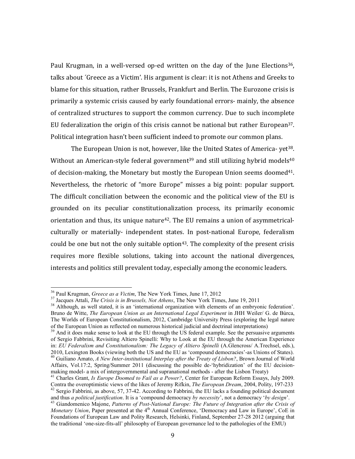Paul Krugman, in a well-versed op-ed written on the day of the June Elections<sup>36</sup>, talks about ´Greece as a Victim'. His argument is clear: it is not Athens and Greeks to blame for this situation, rather Brussels, Frankfurt and Berlin. The Eurozone crisis is primarily a systemic crisis caused by early foundational errors- mainly, the absence of centralized structures to support the common currency. Due to such incomplete EU federalization the origin of this crisis cannot be national but rather European<sup>37</sup>. Political integration hasn't been sufficient indeed to promote our common plans.

The European Union is not, however, like the United States of America- yet<sup>38</sup>. Without an American-style federal government<sup>39</sup> and still utilizing hybrid models<sup>40</sup> of decision-making, the Monetary but mostly the European Union seems doomed41. Nevertheless, the rhetoric of "more Europe" misses a big point: popular support. The difficult conciliation between the economic and the political view of the EU is grounded on its peculiar constitutionalization process, its primarily economic orientation and thus, its unique nature<sup>42</sup>. The EU remains a union of asymmetricalculturally or materially- independent states. In post-national Europe, federalism could be one but not the only suitable option $43$ . The complexity of the present crisis requires more flexible solutions, taking into account the national divergences, interests and politics still prevalent today, especially among the economic leaders.

<sup>&</sup>lt;sup>36</sup> Paul Krugman, *Greece as a Victim*, The New York Times, June 17, 2012<br><sup>37</sup> Jacques Attali, *The Crisis is in Brussels, Not Athens*, The New York Times, June 19, 2011<br><sup>38</sup> Although, as well stated, it is an 'internati Bruno de Witte, *The European Union as an International Legal Experiment* in JHH Weiler/ G. de Búrca, The Worlds of European Constitutionalism, 2012, Cambridge University Press (exploring the legal nature

 $39$  And it does make sense to look at the EU through the US federal example. See the persuasive arguments of Sergio Fabbrini, Revisiting Altiero Spinelli: Why to Look at the EU through the American Experience in: EU Federalism and Constitutionalism: The Legacy of Altiero Spinelli (A.Glencross/ A.Trechsel, eds.), 2010, Lexington Books (viewing both the US and the EU as 'compound democracies'-as Unions of States).  $^{40}$  Guiliano Amato, A New Inter-institutional Interplay after the Treaty of Lisbon?, Brown Journal of World Affairs, Vol.17:2, Spring/Summer 2011 (discussing the possible de-'hybridization' of the EU decision-

making model- a mix of intergovernmental and supranational methods - after the Lisbon Treaty)<br><sup>41</sup> Charles Grant, *Is Europe Doomed to Fail as a Power?*, Center for European Reform Essays, July 2009.<br>Contra the overoptimis <sup>42</sup> Sergio Fabbrini, as above, 57, 37-42. According to Fabbrini, the EU lacks a founding political document and thus *a political justification*. It is a 'compound democracy by *necessity'*, not a democracy '*by design'* 

and thus *a political justification*. It is a 'compound democracy by necessity', not a democracy 'by design'.<br><sup>43</sup> Giandomenico Majone, Patterns of Post-National Europe: The Future of Integration after the Crisis of Monetary Union, Paper presented at the 4<sup>th</sup> Annual Conference, 'Democracy and Law in Europe', CoE in Foundations of European Law and Polity Research, Helsinki, Finland, September 27-28 2012 (arguing that the traditional 'one-size-fits-all' philosophy of European governance led to the pathologies of the EMU)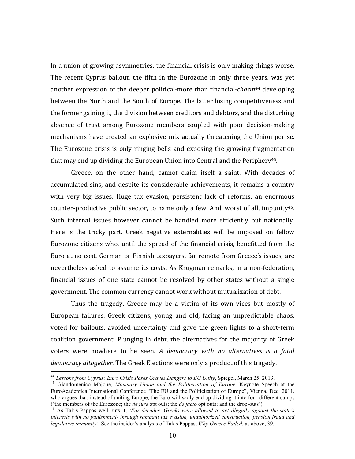In a union of growing asymmetries, the financial crisis is only making things worse. The recent Cyprus bailout, the fifth in the Eurozone in only three years, was yet another expression of the deeper political-more than financial-*chasm*<sup>44</sup> developing between the North and the South of Europe. The latter losing competitiveness and the former gaining it, the division between creditors and debtors, and the disturbing absence of trust among Eurozone members coupled with poor decision-making mechanisms have created an explosive mix actually threatening the Union per se. The Eurozone crisis is only ringing bells and exposing the growing fragmentation that may end up dividing the European Union into Central and the Periphery45.

Greece, on the other hand, cannot claim itself a saint. With decades of accumulated sins, and despite its considerable achievements, it remains a country with very big issues. Huge tax evasion, persistent lack of reforms, an enormous counter-productive public sector, to name only a few. And, worst of all, impunity46. Such internal issues however cannot be handled more efficiently but nationally. Here is the tricky part. Greek negative externalities will be imposed on fellow Eurozone citizens who, until the spread of the financial crisis, benefitted from the Euro at no cost. German or Finnish taxpayers, far remote from Greece's issues, are nevertheless asked to assume its costs. As Krugman remarks, in a non-federation, financial issues of one state cannot be resolved by other states without a single government. The common currency cannot work without mutualization of debt.

Thus the tragedy. Greece may be a victim of its own vices but mostly of European failures. Greek citizens, young and old, facing an unpredictable chaos, voted for bailouts, avoided uncertainty and gave the green lights to a short-term coalition government. Plunging in debt, the alternatives for the majority of Greek voters were nowhere to be seen. *A democracy with no alternatives is a fatal democracy altogether*. The Greek Elections were only a product of this tragedy.

<sup>&</sup>lt;sup>44</sup> Lessons from Cyprus: Euro Crisis Poses Graves Dangers to EU Unity, Spiegel, March 25, 2013.<br><sup>45</sup> Giandomenico Majone, Monetary Union and the Politicization of Europe, Keynote Speech at the EuroAcademica International Conference "The EU and the Politicization of Europe", Vienna, Dec. 2011, who argues that, instead of uniting Europe, the Euro will sadly end up dividing it into four different camps ('the members of the Eurozone; the *de jure* opt outs; the *de facto* opt outs; and the drop-outs').<br><sup>46</sup> As Takis Pappas well puts it, 'For decades, Greeks were allowed to act illegally against the state's

interests with no punishment- through rampant tax evasion, unauthorized construction, pension fraud and legislative immunity'. See the insider's analysis of Takis Pappas, Why Greece Failed, as above, 39.